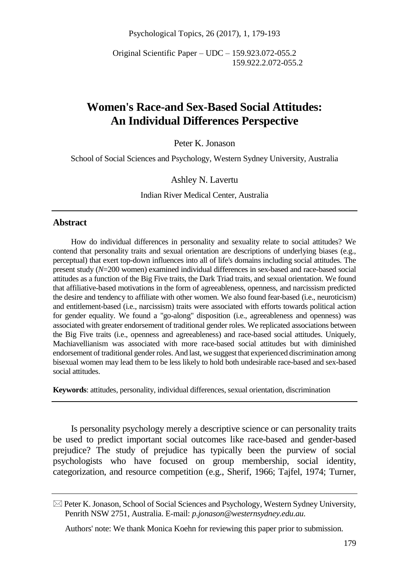Psychological Topics, 26 (2017), 1, 179-193

Original Scientific Paper – UDC – 159.923.072-055.2 159.922.2.072-055.2

# **Women's Race-and Sex-Based Social Attitudes: An Individual Differences Perspective**

Peter K. Jonason

School of Social Sciences and Psychology, Western Sydney University, Australia

### Ashley N. Lavertu

Indian River Medical Center, Australia

### **Abstract**

How do individual differences in personality and sexuality relate to social attitudes? We contend that personality traits and sexual orientation are descriptions of underlying biases (e.g., perceptual) that exert top-down influences into all of life's domains including social attitudes. The present study (*N*=200 women) examined individual differences in sex-based and race-based social attitudes as a function of the Big Five traits, the Dark Triad traits, and sexual orientation. We found that affiliative-based motivations in the form of agreeableness, openness, and narcissism predicted the desire and tendency to affiliate with other women. We also found fear-based (i.e., neuroticism) and entitlement-based (i.e., narcissism) traits were associated with efforts towards political action for gender equality. We found a "go-along" disposition (i.e., agreeableness and openness) was associated with greater endorsement of traditional gender roles. We replicated associations between the Big Five traits (i.e., openness and agreeableness) and race-based social attitudes. Uniquely, Machiavellianism was associated with more race-based social attitudes but with diminished endorsement of traditional gender roles. And last, we suggest that experienced discrimination among bisexual women may lead them to be less likely to hold both undesirable race-based and sex-based social attitudes.

**Keywords**: attitudes, personality, individual differences, sexual orientation, discrimination

Is personality psychology merely a descriptive science or can personality traits be used to predict important social outcomes like race-based and gender-based prejudice? The study of prejudice has typically been the purview of social psychologists who have focused on group membership, social identity, categorization, and resource competition (e.g., Sherif, 1966; Tajfel, 1974; Turner,

Authors' note: We thank Monica Koehn for reviewing this paper prior to submission.

 $\boxtimes$  Peter K. Jonason, School of Social Sciences and Psychology, Western Sydney University, Penrith NSW 2751, Australia. E-mail: *p.jonason@westernsydney.edu.au.*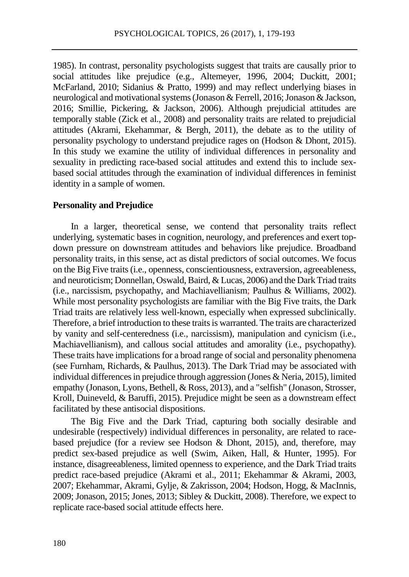1985). In contrast, personality psychologists suggest that traits are causally prior to social attitudes like prejudice (e.g., Altemeyer, 1996, 2004; Duckitt, 2001; McFarland, 2010; Sidanius & Pratto, 1999) and may reflect underlying biases in neurological and motivational systems (Jonason & Ferrell, 2016; Jonason & Jackson, 2016; Smillie, Pickering, & Jackson, 2006). Although prejudicial attitudes are temporally stable (Zick et al., 2008) and personality traits are related to prejudicial attitudes (Akrami, Ekehammar, & Bergh, 2011), the debate as to the utility of personality psychology to understand prejudice rages on (Hodson & Dhont, 2015). In this study we examine the utility of individual differences in personality and sexuality in predicting race-based social attitudes and extend this to include sexbased social attitudes through the examination of individual differences in feminist identity in a sample of women.

### **Personality and Prejudice**

In a larger, theoretical sense, we contend that personality traits reflect underlying, systematic bases in cognition, neurology, and preferences and exert topdown pressure on downstream attitudes and behaviors like prejudice. Broadband personality traits, in this sense, act as distal predictors of social outcomes. We focus on the Big Five traits (i.e., openness, conscientiousness, extraversion, agreeableness, and neuroticism; Donnellan, Oswald, Baird, & Lucas, 2006) and the Dark Triad traits (i.e., narcissism, psychopathy, and Machiavellianism; Paulhus & Williams, 2002). While most personality psychologists are familiar with the Big Five traits, the Dark Triad traits are relatively less well-known, especially when expressed subclinically. Therefore, a brief introduction to these traits is warranted. The traits are characterized by vanity and self-centeredness (i.e., narcissism), manipulation and cynicism (i.e., Machiavellianism), and callous social attitudes and amorality (i.e., psychopathy). These traits have implications for a broad range of social and personality phenomena (see Furnham, Richards, & Paulhus, 2013). The Dark Triad may be associated with individual differences in prejudice through aggression (Jones & Neria, 2015), limited empathy (Jonason, Lyons, Bethell, & Ross, 2013), and a "selfish" (Jonason, Strosser, Kroll, Duineveld, & Baruffi, 2015). Prejudice might be seen as a downstream effect facilitated by these antisocial dispositions.

The Big Five and the Dark Triad, capturing both socially desirable and undesirable (respectively) individual differences in personality, are related to racebased prejudice (for a review see Hodson & Dhont, 2015), and, therefore, may predict sex-based prejudice as well (Swim, Aiken, Hall, & Hunter, 1995). For instance, disagreeableness, limited openness to experience, and the Dark Triad traits predict race-based prejudice (Akrami et al., 2011; Ekehammar & Akrami, 2003, 2007; Ekehammar, Akrami, Gylje, & Zakrisson, 2004; Hodson, Hogg, & MacInnis, 2009; Jonason, 2015; Jones, 2013; Sibley & Duckitt, 2008). Therefore, we expect to replicate race-based social attitude effects here.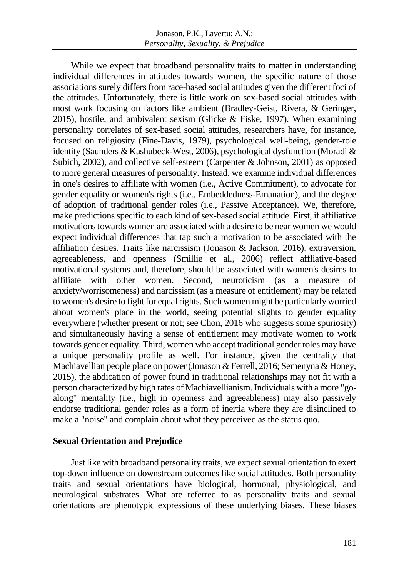While we expect that broadband personality traits to matter in understanding individual differences in attitudes towards women, the specific nature of those associations surely differs from race-based social attitudes given the different foci of the attitudes. Unfortunately, there is little work on sex-based social attitudes with most work focusing on factors like ambient (Bradley-Geist, Rivera, & Geringer, 2015), hostile, and ambivalent sexism (Glicke & Fiske, 1997). When examining personality correlates of sex-based social attitudes, researchers have, for instance, focused on religiosity (Fine-Davis, 1979), psychological well-being, gender-role identity (Saunders & Kashubeck-West, 2006), psychological dysfunction (Moradi & Subich, 2002), and collective self-esteem (Carpenter & Johnson, 2001) as opposed to more general measures of personality. Instead, we examine individual differences in one's desires to affiliate with women (i.e., Active Commitment), to advocate for gender equality or women's rights (i.e., Embeddedness-Emanation), and the degree of adoption of traditional gender roles (i.e., Passive Acceptance). We, therefore, make predictions specific to each kind of sex-based social attitude. First, if affiliative motivations towards women are associated with a desire to be near women we would expect individual differences that tap such a motivation to be associated with the affiliation desires. Traits like narcissism (Jonason & Jackson, 2016), extraversion, agreeableness, and openness (Smillie et al., 2006) reflect affliative-based motivational systems and, therefore, should be associated with women's desires to affiliate with other women. Second, neuroticism (as a measure of anxiety/worrisomeness) and narcissism (as a measure of entitlement) may be related to women's desire to fight for equal rights. Such women might be particularly worried about women's place in the world, seeing potential slights to gender equality everywhere (whether present or not; see Chon, 2016 who suggests some spuriosity) and simultaneously having a sense of entitlement may motivate women to work towards gender equality. Third, women who accept traditional gender roles may have a unique personality profile as well. For instance, given the centrality that Machiavellian people place on power (Jonason & Ferrell, 2016; Semenyna & Honey, 2015), the abdication of power found in traditional relationships may not fit with a person characterized by high rates of Machiavellianism. Individuals with a more "goalong" mentality (i.e., high in openness and agreeableness) may also passively endorse traditional gender roles as a form of inertia where they are disinclined to make a "noise" and complain about what they perceived as the status quo.

### **Sexual Orientation and Prejudice**

Just like with broadband personality traits, we expect sexual orientation to exert top-down influence on downstream outcomes like social attitudes. Both personality traits and sexual orientations have biological, hormonal, physiological, and neurological substrates. What are referred to as personality traits and sexual orientations are phenotypic expressions of these underlying biases. These biases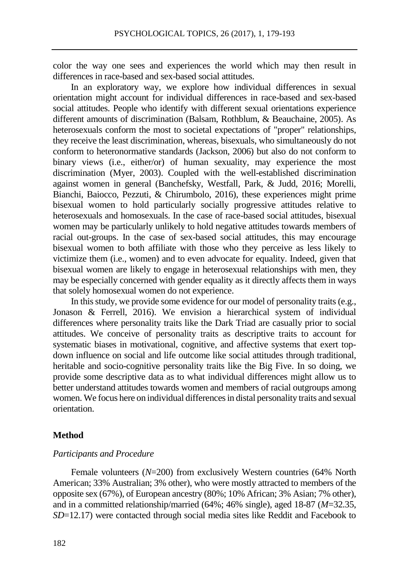color the way one sees and experiences the world which may then result in differences in race-based and sex-based social attitudes.

In an exploratory way, we explore how individual differences in sexual orientation might account for individual differences in race-based and sex-based social attitudes. People who identify with different sexual orientations experience different amounts of discrimination (Balsam, Rothblum, & Beauchaine, 2005). As heterosexuals conform the most to societal expectations of "proper" relationships, they receive the least discrimination, whereas, bisexuals, who simultaneously do not conform to heteronormative standards (Jackson, 2006) but also do not conform to binary views (i.e., either/or) of human sexuality, may experience the most discrimination (Myer, 2003). Coupled with the well-established discrimination against women in general (Banchefsky, Westfall, Park, & Judd, 2016; Morelli, Bianchi, Baiocco, Pezzuti, & Chirumbolo, 2016), these experiences might prime bisexual women to hold particularly socially progressive attitudes relative to heterosexuals and homosexuals. In the case of race-based social attitudes, bisexual women may be particularly unlikely to hold negative attitudes towards members of racial out-groups. In the case of sex-based social attitudes, this may encourage bisexual women to both affiliate with those who they perceive as less likely to victimize them (i.e., women) and to even advocate for equality. Indeed, given that bisexual women are likely to engage in heterosexual relationships with men, they may be especially concerned with gender equality as it directly affects them in ways that solely homosexual women do not experience.

In this study, we provide some evidence for our model of personality traits(e.g., Jonason & Ferrell, 2016). We envision a hierarchical system of individual differences where personality traits like the Dark Triad are casually prior to social attitudes. We conceive of personality traits as descriptive traits to account for systematic biases in motivational, cognitive, and affective systems that exert topdown influence on social and life outcome like social attitudes through traditional, heritable and socio-cognitive personality traits like the Big Five. In so doing, we provide some descriptive data as to what individual differences might allow us to better understand attitudes towards women and members of racial outgroups among women. We focus here on individual differences in distal personality traits and sexual orientation.

### **Method**

### *Participants and Procedure*

Female volunteers (*N*=200) from exclusively Western countries (64% North American; 33% Australian; 3% other), who were mostly attracted to members of the opposite sex (67%), of European ancestry (80%; 10% African; 3% Asian; 7% other), and in a committed relationship/married (64%; 46% single), aged 18-87 (*M*=32.35, *SD*=12.17) were contacted through social media sites like Reddit and Facebook to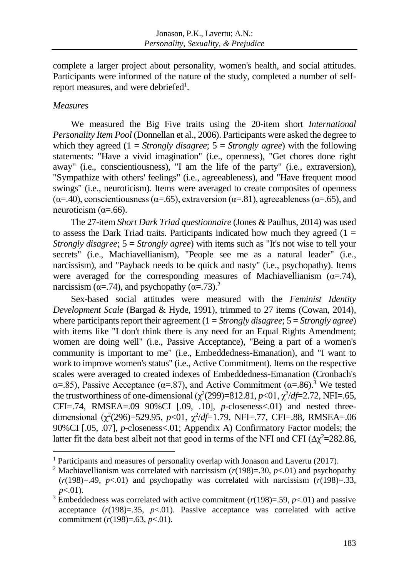complete a larger project about personality, women's health, and social attitudes. Participants were informed of the nature of the study, completed a number of selfreport measures, and were debriefed<sup>1</sup>.

### *Measures*

 $\overline{a}$ 

We measured the Big Five traits using the 20-item short *International Personality Item Pool* (Donnellan et al., 2006). Participants were asked the degree to which they agreed  $(1 = \text{Strongly disagree}; 5 = \text{Strongly agree})$  with the following statements: "Have a vivid imagination" (i.e., openness), "Get chores done right away" (i.e., conscientiousness), "I am the life of the party" (i.e., extraversion), "Sympathize with others' feelings" (i.e., agreeableness), and "Have frequent mood swings" (i.e., neuroticism). Items were averaged to create composites of openness ( $\alpha$ =.40), conscientiousness ( $\alpha$ =.65), extraversion ( $\alpha$ =.81), agreeableness ( $\alpha$ =.65), and neuroticism  $(\alpha = .66)$ .

The 27-item *Short Dark Triad questionnaire* (Jones & Paulhus, 2014) was used to assess the Dark Triad traits. Participants indicated how much they agreed  $(1 =$ *Strongly disagree*; 5 = *Strongly agree*) with items such as "It's not wise to tell your secrets" (i.e., Machiavellianism), "People see me as a natural leader" (i.e., narcissism), and "Payback needs to be quick and nasty" (i.e., psychopathy). Items were averaged for the corresponding measures of Machiavellianism  $(\alpha = .74)$ , narcissism ( $\alpha$ =.74), and psychopathy ( $\alpha$ =.73).<sup>2</sup>

Sex-based social attitudes were measured with the *Feminist Identity Development Scale* (Bargad & Hyde, 1991), trimmed to 27 items (Cowan, 2014), where participants report their agreement (1 = *Strongly disagree*; 5 = *Strongly agree*) with items like "I don't think there is any need for an Equal Rights Amendment; women are doing well" (i.e., Passive Acceptance), "Being a part of a women's community is important to me" (i.e., Embeddedness-Emanation), and "I want to work to improve women's status" (i.e., Active Commitment). Items on the respective scales were averaged to created indexes of Embeddedness-Emanation (Cronbach's α=.85), Passive Acceptance ( $α=0.87$ ), and Active Commitment ( $α=0.86$ ).<sup>3</sup> We tested the trustworthiness of one-dimensional  $(\chi^2(299)=812.81, p<01, \chi^2/df=2.72, \text{NFI}=.65,$ CFI $=$ .74, RMSEA $=$ .09 90%CI [.09, .10], *p*-closeness $<$ .01) and nested threedimensional  $(\chi^2(296)=529.95, p<01, \chi^2/df=1.79, NFI=.77, CFI=.88, RMSEA=.06$ 90%CI [.05, .07], *p*-closeness<.01; Appendix A) Confirmatory Factor models; the latter fit the data best albeit not that good in terms of the NFI and CFI ( $\Delta \chi^2 = 282.86$ ,

<sup>&</sup>lt;sup>1</sup> Participants and measures of personality overlap with Jonason and Lavertu (2017).

<sup>&</sup>lt;sup>2</sup> Machiavellianism was correlated with narcissism  $(r(198)=.30, p<.01)$  and psychopathy  $(r(198)=.49, p<.01)$  and psychopathy was correlated with narcissism  $(r(198)=.33,$ *p*<.01).

<sup>&</sup>lt;sup>3</sup> Embeddedness was correlated with active commitment  $(r(198)=0.59, p<0.01)$  and passive acceptance  $(r(198)=.35, p<.01)$ . Passive acceptance was correlated with active commitment (*r*(198)=.63, *p*<.01).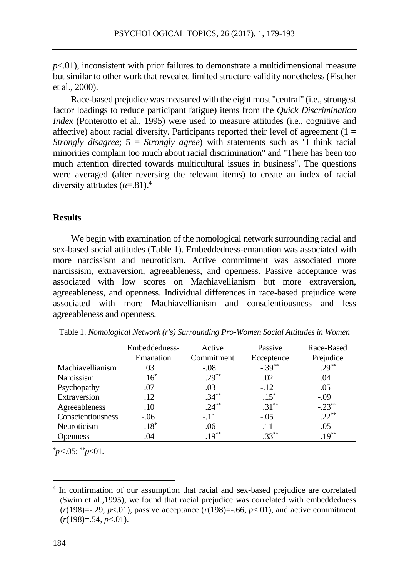*p*<.01), inconsistent with prior failures to demonstrate a multidimensional measure but similar to other work that revealed limited structure validity nonetheless (Fischer et al., 2000).

Race-based prejudice was measured with the eight most "central" (i.e., strongest factor loadings to reduce participant fatigue) items from the *Quick Discrimination Index* (Ponterotto et al., 1995) were used to measure attitudes (*i.e.*, cognitive and affective) about racial diversity. Participants reported their level of agreement  $(1 =$ *Strongly disagree*; 5 = *Strongly agree*) with statements such as "I think racial minorities complain too much about racial discrimination" and "There has been too much attention directed towards multicultural issues in business". The questions were averaged (after reversing the relevant items) to create an index of racial diversity attitudes  $(\alpha = .81)^4$ 

### **Results**

We begin with examination of the nomological network surrounding racial and sex-based social attitudes (Table 1). Embeddedness-emanation was associated with more narcissism and neuroticism. Active commitment was associated more narcissism, extraversion, agreeableness, and openness. Passive acceptance was associated with low scores on Machiavellianism but more extraversion, agreeableness, and openness. Individual differences in race-based prejudice were associated with more Machiavellianism and conscientiousness and less agreeableness and openness.

|                   | Embeddedness- | Active     | Passive    | Race-Based |
|-------------------|---------------|------------|------------|------------|
|                   | Emanation     | Commitment | Ecceptence | Prejudice  |
| Machiavellianism  | .03           | $-.08$     | $-.39***$  | $.29***$   |
| Narcissism        | $.16*$        | $.29***$   | .02        | .04        |
| Psychopathy       | .07           | .03        | $-.12$     | .05        |
| Extraversion      | .12           | $.34***$   | $.15*$     | $-.09$     |
| Agreeableness     | .10           | $.24***$   | $.31***$   | $-.23**$   |
| Conscientiousness | $-.06$        | $-.11$     | $-.05$     | $.22***$   |
| Neuroticism       | $.18*$        | .06        | .11        | $-.05$     |
| <b>Openness</b>   | .04           | $.19***$   | $.33***$   | $-.19***$  |

Table 1. *Nomological Network (r's) Surrounding Pro-Women Social Attitudes in Women*

*\*p<*.05; \*\**p*<01.

 $\overline{a}$ 

<sup>&</sup>lt;sup>4</sup> In confirmation of our assumption that racial and sex-based prejudice are correlated (Swim et al.,1995), we found that racial prejudice was correlated with embeddedness  $(r(198)=.29, p<.01)$ , passive acceptance  $(r(198)=.66, p<.01)$ , and active commitment (*r*(198)=.54, *p*<.01).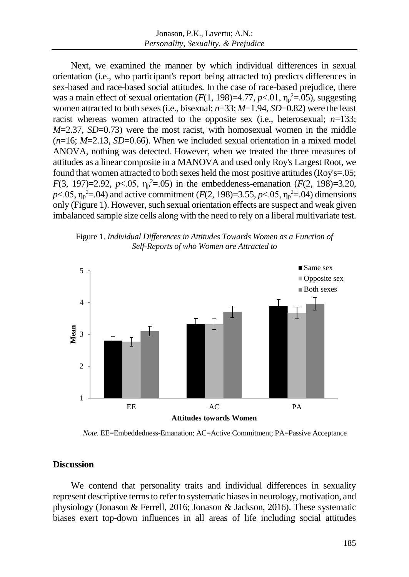Next, we examined the manner by which individual differences in sexual orientation (i.e., who participant's report being attracted to) predicts differences in sex-based and race-based social attitudes. In the case of race-based prejudice, there was a main effect of sexual orientation  $(F(1, 198)=4.77, p<.01, \eta_p^2=0.05)$ , suggesting women attracted to both sexes (i.e., bisexual; *n*=33; *M*=1.94, *SD*=0.82) were the least racist whereas women attracted to the opposite sex (i.e., heterosexual; *n*=133; *M*=2.37, *SD*=0.73) were the most racist, with homosexual women in the middle  $(n=16; M=2.13, SD=0.66)$ . When we included sexual orientation in a mixed model ANOVA, nothing was detected. However, when we treated the three measures of attitudes as a linear composite in a MANOVA and used only Roy's Largest Root, we found that women attracted to both sexes held the most positive attitudes (Roy's=.05; *F*(3, 197)=2.92, *p*<.05,  $\eta_p^2$ =.05) in the embeddeness-emanation (*F*(2, 198)=3.20,  $p$ <.05,  $\eta_p^2$ =.04) and active commitment (*F*(2, 198)=3.55, *p*<.05,  $\eta_p^2$ =.04) dimensions only (Figure 1). However, such sexual orientation effects are suspect and weak given imbalanced sample size cells along with the need to rely on a liberal multivariate test.





*Note.* EE=Embeddedness-Emanation; AC=Active Commitment; PA=Passive Acceptance

### **Discussion**

We contend that personality traits and individual differences in sexuality represent descriptive terms to refer to systematic biases in neurology, motivation, and physiology (Jonason & Ferrell, 2016; Jonason & Jackson, 2016). These systematic biases exert top-down influences in all areas of life including social attitudes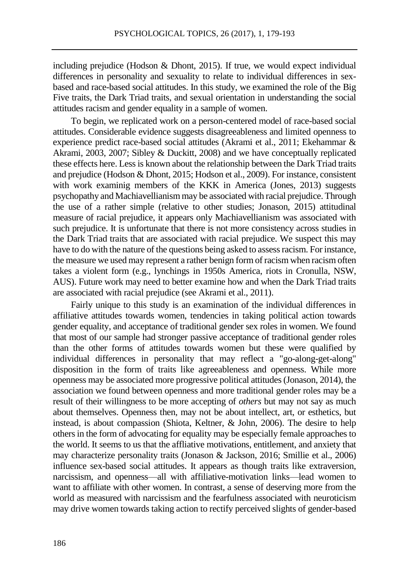including prejudice (Hodson & Dhont, 2015). If true, we would expect individual differences in personality and sexuality to relate to individual differences in sexbased and race-based social attitudes. In this study, we examined the role of the Big Five traits, the Dark Triad traits, and sexual orientation in understanding the social attitudes racism and gender equality in a sample of women.

To begin, we replicated work on a person-centered model of race-based social attitudes. Considerable evidence suggests disagreeableness and limited openness to experience predict race-based social attitudes (Akrami et al., 2011; Ekehammar & Akrami, 2003, 2007; Sibley & Duckitt, 2008) and we have conceptually replicated these effects here. Less is known about the relationship between the Dark Triad traits and prejudice (Hodson & Dhont, 2015; Hodson et al., 2009). For instance, consistent with work examinig members of the KKK in America (Jones, 2013) suggests psychopathy and Machiavellianism may be associated with racial prejudice. Through the use of a rather simple (relative to other studies; Jonason, 2015) attitudinal measure of racial prejudice, it appears only Machiavellianism was associated with such prejudice. It is unfortunate that there is not more consistency across studies in the Dark Triad traits that are associated with racial prejudice. We suspect this may have to do with the nature of the questions being asked to assess racism. For instance, the measure we used may represent a rather benign form of racism when racism often takes a violent form (e.g., lynchings in 1950s America, riots in Cronulla, NSW, AUS). Future work may need to better examine how and when the Dark Triad traits are associated with racial prejudice (see Akrami et al., 2011).

Fairly unique to this study is an examination of the individual differences in affiliative attitudes towards women, tendencies in taking political action towards gender equality, and acceptance of traditional gender sex roles in women. We found that most of our sample had stronger passive acceptance of traditional gender roles than the other forms of attitudes towards women but these were qualified by individual differences in personality that may reflect a "go-along-get-along" disposition in the form of traits like agreeableness and openness. While more openness may be associated more progressive political attitudes (Jonason, 2014), the association we found between openness and more traditional gender roles may be a result of their willingness to be more accepting of *others* but may not say as much about themselves. Openness then, may not be about intellect, art, or esthetics, but instead, is about compassion (Shiota, Keltner, & John, 2006). The desire to help others in the form of advocating for equality may be especially female approaches to the world. It seems to us that the affliative motivations, entitlement, and anxiety that may characterize personality traits (Jonason & Jackson, 2016; Smillie et al., 2006) influence sex-based social attitudes. It appears as though traits like extraversion, narcissism, and openness—all with affiliative-motivation links—lead women to want to affiliate with other women. In contrast, a sense of deserving more from the world as measured with narcissism and the fearfulness associated with neuroticism may drive women towards taking action to rectify perceived slights of gender-based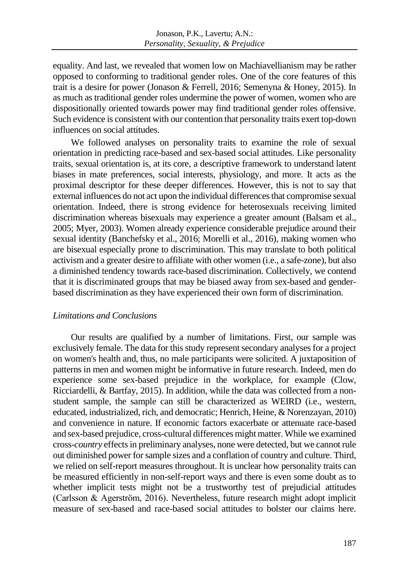equality. And last, we revealed that women low on Machiavellianism may be rather opposed to conforming to traditional gender roles. One of the core features of this trait is a desire for power (Jonason & Ferrell, 2016; Semenyna & Honey, 2015). In as much as traditional gender roles undermine the power of women, women who are dispositionally oriented towards power may find traditional gender roles offensive. Such evidence is consistent with our contention that personality traits exert top-down influences on social attitudes.

We followed analyses on personality traits to examine the role of sexual orientation in predicting race-based and sex-based social attitudes. Like personality traits, sexual orientation is, at its core, a descriptive framework to understand latent biases in mate preferences, social interests, physiology, and more. It acts as the proximal descriptor for these deeper differences. However, this is not to say that external influences do not act upon the individual differences that compromise sexual orientation. Indeed, there is strong evidence for heterosexuals receiving limited discrimination whereas bisexuals may experience a greater amount (Balsam et al., 2005; Myer, 2003). Women already experience considerable prejudice around their sexual identity (Banchefsky et al., 2016; Morelli et al., 2016), making women who are bisexual especially prone to discrimination. This may translate to both political activism and a greater desire to affiliate with other women (i.e., a safe-zone), but also a diminished tendency towards race-based discrimination. Collectively, we contend that it is discriminated groups that may be biased away from sex-based and genderbased discrimination as they have experienced their own form of discrimination.

# *Limitations and Conclusions*

Our results are qualified by a number of limitations. First, our sample was exclusively female. The data for this study represent secondary analyses for a project on women's health and, thus, no male participants were solicited. A juxtaposition of patterns in men and women might be informative in future research. Indeed, men do experience some sex-based prejudice in the workplace, for example (Clow, Ricciardelli, & Bartfay, 2015). In addition, while the data was collected from a nonstudent sample, the sample can still be characterized as WEIRD (i.e., western, educated, industrialized, rich, and democratic; Henrich, Heine, & Norenzayan, 2010) and convenience in nature. If economic factors exacerbate or attenuate race-based and sex-based prejudice, cross-cultural differences might matter. While we examined cross-*country* effects in preliminary analyses, none were detected, but we cannot rule out diminished power for sample sizes and a conflation of country and culture. Third, we relied on self-report measures throughout. It is unclear how personality traits can be measured efficiently in non-self-report ways and there is even some doubt as to whether implicit tests might not be a trustworthy test of prejudicial attitudes (Carlsson & Agerström, 2016). Nevertheless, future research might adopt implicit measure of sex-based and race-based social attitudes to bolster our claims here.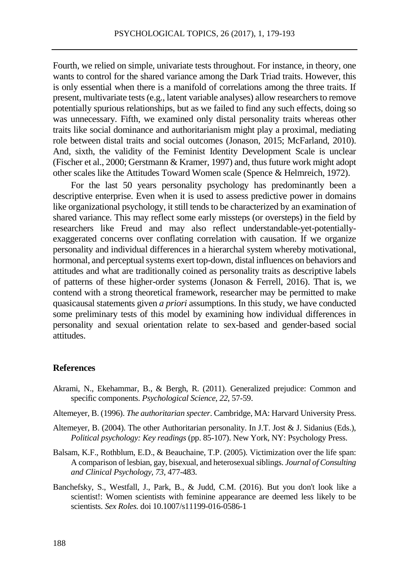Fourth, we relied on simple, univariate tests throughout. For instance, in theory, one wants to control for the shared variance among the Dark Triad traits. However, this is only essential when there is a manifold of correlations among the three traits. If present, multivariate tests (e.g., latent variable analyses) allow researchers to remove potentially spurious relationships, but as we failed to find any such effects, doing so was unnecessary. Fifth, we examined only distal personality traits whereas other traits like social dominance and authoritarianism might play a proximal, mediating role between distal traits and social outcomes (Jonason, 2015; McFarland, 2010). And, sixth, the validity of the Feminist Identity Development Scale is unclear (Fischer et al., 2000; Gerstmann & Kramer, 1997) and, thus future work might adopt other scales like the Attitudes Toward Women scale (Spence & Helmreich, 1972).

For the last 50 years personality psychology has predominantly been a descriptive enterprise. Even when it is used to assess predictive power in domains like organizational psychology, it still tends to be characterized by an examination of shared variance. This may reflect some early missteps (or oversteps) in the field by researchers like Freud and may also reflect understandable-yet-potentiallyexaggerated concerns over conflating correlation with causation. If we organize personality and individual differences in a hierarchal system whereby motivational, hormonal, and perceptual systems exert top-down, distal influences on behaviors and attitudes and what are traditionally coined as personality traits as descriptive labels of patterns of these higher-order systems (Jonason & Ferrell, 2016). That is, we contend with a strong theoretical framework, researcher may be permitted to make quasicausal statements given *a priori* assumptions. In this study, we have conducted some preliminary tests of this model by examining how individual differences in personality and sexual orientation relate to sex-based and gender-based social attitudes.

### **References**

- Akrami, N., Ekehammar, B., & Bergh, R. (2011). Generalized prejudice: Common and specific components. *Psychological Science, 22*, 57-59.
- Altemeyer, B. (1996). *The authoritarian specter*. Cambridge, MA: Harvard University Press.
- Altemeyer, B. (2004). The other Authoritarian personality. In J.T. Jost & J. Sidanius (Eds.), *Political psychology: Key readings* (pp. 85-107). New York, NY: Psychology Press.
- Balsam, K.F., Rothblum, E.D., & Beauchaine, T.P. (2005). Victimization over the life span: A comparison of lesbian, gay, bisexual, and heterosexual siblings. *Journal of Consulting and Clinical Psychology, 73*, 477-483.
- Banchefsky, S., Westfall, J., Park, B., & Judd, C.M. (2016). But you don't look like a scientist!: Women scientists with feminine appearance are deemed less likely to be scientists. *Sex Roles.* doi 10.1007/s11199-016-0586-1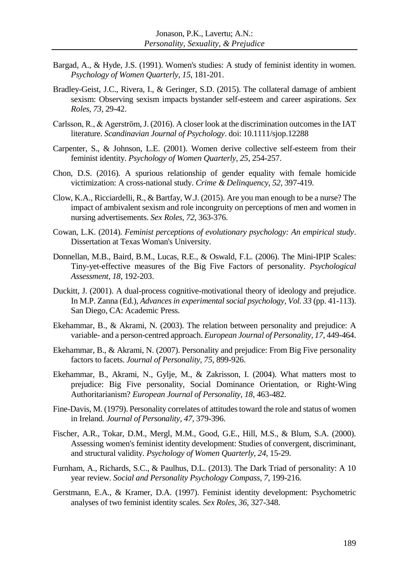- Bargad, A., & Hyde, J.S. (1991). Women's studies: A study of feminist identity in women. *Psychology of Women Quarterly, 15*, 181-201.
- Bradley-Geist, J.C., Rivera, I., & Geringer, S.D. (2015). The collateral damage of ambient sexism: Observing sexism impacts bystander self-esteem and career aspirations. *Sex Roles, 73*, 29-42.
- Carlsson, R., & Agerström, J. (2016). A closer look at the discrimination outcomes in the IAT literature. *Scandinavian Journal of Psychology*. doi: 10.1111/sjop.12288
- Carpenter, S., & Johnson, L.E. (2001). Women derive collective self-esteem from their feminist identity. *Psychology of Women Quarterly, 25*, 254-257.
- Chon, D.S. (2016). A spurious relationship of gender equality with female homicide victimization: A cross-national study. *Crime & Delinquency, 52*, 397-419.
- Clow, K.A., Ricciardelli, R., & Bartfay, W.J. (2015). Are you man enough to be a nurse? The impact of ambivalent sexism and role incongruity on perceptions of men and women in nursing advertisements. *Sex Roles, 72*, 363-376.
- Cowan, L.K. (2014). *Feminist perceptions of evolutionary psychology: An empirical study*. Dissertation at Texas Woman's University.
- Donnellan, M.B., Baird, B.M., Lucas, R.E., & Oswald, F.L. (2006). The Mini-IPIP Scales: Tiny-yet-effective measures of the Big Five Factors of personality. *Psychological Assessment, 18*, 192-203.
- Duckitt, J. (2001). A dual-process cognitive-motivational theory of ideology and prejudice. In M.P. Zanna (Ed.), *Advances in experimental social psychology, Vol. 33* (pp. 41-113). San Diego, CA: Academic Press.
- Ekehammar, B., & Akrami, N. (2003). The relation between personality and prejudice: A variable- and a person-centred approach. *European Journal of Personality, 17*, 449-464.
- Ekehammar, B., & Akrami, N. (2007). Personality and prejudice: From Big Five personality factors to facets. *Journal of Personality, 75*, 899-926.
- Ekehammar, B., Akrami, N., Gylje, M., & Zakrisson, I. (2004). What matters most to prejudice: Big Five personality, Social Dominance Orientation, or Right‐Wing Authoritarianism? *European Journal of Personality, 18*, 463-482.
- Fine-Davis, M. (1979). Personality correlates of attitudes toward the role and status of women in Ireland*. Journal of Personality, 47*, 379-396.
- Fischer, A.R., Tokar, D.M., Mergl, M.M., Good, G.E., Hill, M.S., & Blum, S.A. (2000). Assessing women's feminist identity development: Studies of convergent, discriminant, and structural validity. *Psychology of Women Quarterly, 24*, 15-29.
- Furnham, A., Richards, S.C., & Paulhus, D.L. (2013). The Dark Triad of personality: A 10 year review. *Social and Personality Psychology Compass, 7*, 199-216.
- Gerstmann, E.A., & Kramer, D.A. (1997). Feminist identity development: Psychometric analyses of two feminist identity scales. *Sex Roles, 36*, 327-348.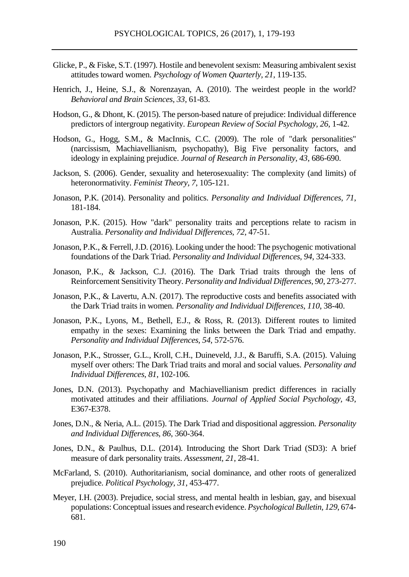- Glicke, P., & Fiske, S.T. (1997). Hostile and benevolent sexism: Measuring ambivalent sexist attitudes toward women. *Psychology of Women Quarterly, 21*, 119-135.
- Henrich, J., Heine, S.J., & Norenzayan, A. (2010). The weirdest people in the world? *Behavioral and Brain Sciences, 33*, 61-83.
- Hodson, G., & Dhont, K. (2015). The person-based nature of prejudice: Individual difference predictors of intergroup negativity. *European Review of Social Psychology, 26*, 1-42.
- Hodson, G., Hogg, S.M., & MacInnis, C.C. (2009). The role of "dark personalities" (narcissism, Machiavellianism, psychopathy), Big Five personality factors, and ideology in explaining prejudice. *Journal of Research in Personality, 43*, 686-690.
- Jackson, S. (2006). Gender, sexuality and heterosexuality: The complexity (and limits) of heteronormativity. *Feminist Theory, 7*, 105-121.
- Jonason, P.K. (2014). Personality and politics. *Personality and Individual Differences, 71*, 181-184.
- Jonason, P.K. (2015). How "dark" personality traits and perceptions relate to racism in Australia. *Personality and Individual Differences, 72*, 47-51.
- Jonason, P.K., & Ferrell, J.D. (2016). Looking under the hood: The psychogenic motivational foundations of the Dark Triad. *Personality and Individual Differences, 94*, 324-333.
- Jonason, P.K., & Jackson, C.J. (2016). The Dark Triad traits through the lens of Reinforcement Sensitivity Theory. *Personality and Individual Differences, 90*, 273-277.
- Jonason, P.K., & Lavertu, A.N. (2017). The reproductive costs and benefits associated with the Dark Triad traits in women. *Personality and Individual Differences*, *110*, 38-40.
- Jonason, P.K., Lyons, M., Bethell, E.J., & Ross, R. (2013). Different routes to limited empathy in the sexes: Examining the links between the Dark Triad and empathy. *Personality and Individual Differences, 54*, 572-576.
- Jonason, P.K., Strosser, G.L., Kroll, C.H., Duineveld, J.J., & Baruffi, S.A. (2015). Valuing myself over others: The Dark Triad traits and moral and social values. *Personality and Individual Differences, 81*, 102-106.
- Jones, D.N. (2013). Psychopathy and Machiavellianism predict differences in racially motivated attitudes and their affiliations. *Journal of Applied Social Psychology, 43*, E367-E378.
- Jones, D.N., & Neria, A.L. (2015). The Dark Triad and dispositional aggression. *Personality and Individual Differences, 86*, 360-364.
- Jones, D.N., & Paulhus, D.L. (2014). Introducing the Short Dark Triad (SD3): A brief measure of dark personality traits. *Assessment, 21*, 28-41.
- McFarland, S. (2010). Authoritarianism, social dominance, and other roots of generalized prejudice. *Political Psychology, 31*, 453-477.
- Meyer, I.H. (2003). Prejudice, social stress, and mental health in lesbian, gay, and bisexual populations: Conceptual issues and research evidence. *Psychological Bulletin, 129*, 674- 681.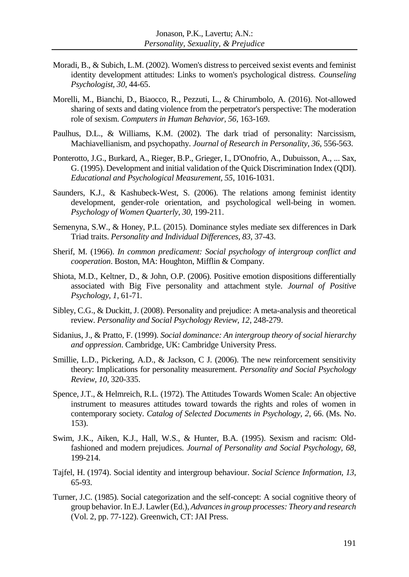- Moradi, B., & Subich, L.M. (2002). Women's distress to perceived sexist events and feminist identity development attitudes: Links to women's psychological distress. *Counseling Psychologist, 30*, 44-65.
- Morelli, M., Bianchi, D., Biaocco, R., Pezzuti, L., & Chirumbolo, A. (2016). Not-allowed sharing of sexts and dating violence from the perpetrator's perspective: The moderation role of sexism. *Computers in Human Behavior, 56*, 163-169.
- Paulhus, D.L., & Williams, K.M. (2002). The dark triad of personality: Narcissism, Machiavellianism, and psychopathy. *Journal of Research in Personality, 36*, 556-563.
- Ponterotto, J.G., Burkard, A., Rieger, B.P., Grieger, I., D'Onofrio, A., Dubuisson, A., ... Sax, G. (1995). Development and initial validation of the Quick Discrimination Index (QDI). *Educational and Psychological Measurement, 55*, 1016-1031.
- Saunders, K.J., & Kashubeck-West, S. (2006). The relations among feminist identity development, gender-role orientation, and psychological well-being in women. *Psychology of Women Quarterly, 30*, 199-211.
- Semenyna, S.W., & Honey, P.L. (2015). Dominance styles mediate sex differences in Dark Triad traits. *Personality and Individual Differences, 83*, 37-43.
- Sherif, M. (1966). *In common predicament: Social psychology of intergroup conflict and cooperation*. Boston, MA: Houghton, Mifflin & Company.
- Shiota, M.D., Keltner, D., & John, O.P. (2006). Positive emotion dispositions differentially associated with Big Five personality and attachment style. *Journal of Positive Psychology, 1,* 61-71.
- Sibley, C.G., & Duckitt, J. (2008). Personality and prejudice: A meta-analysis and theoretical review. *Personality and Social Psychology Review, 12*, 248-279.
- Sidanius, J., & Pratto, F. (1999). *Social dominance: An intergroup theory of social hierarchy and oppression*. Cambridge, UK: Cambridge University Press.
- Smillie, L.D., Pickering, A.D., & Jackson, C J. (2006). The new reinforcement sensitivity theory: Implications for personality measurement. *Personality and Social Psychology Review, 10*, 320-335.
- Spence, J.T., & Helmreich, R.L. (1972). The Attitudes Towards Women Scale: An objective instrument to measures attitudes toward towards the rights and roles of women in contemporary society. *Catalog of Selected Documents in Psychology, 2*, 66. (Ms. No. 153).
- Swim, J.K., Aiken, K.J., Hall, W.S., & Hunter, B.A. (1995). Sexism and racism: Oldfashioned and modern prejudices. *Journal of Personality and Social Psychology, 68*, 199-214.
- Tajfel, H. (1974). Social identity and intergroup behaviour. *Social Science Information, 13*, 65-93.
- Turner, J.C. (1985). Social categorization and the self-concept: A social cognitive theory of group behavior. In E.J. Lawler (Ed.), *Advances in group processes: Theory and research* (Vol. 2, pp. 77-122). Greenwich, CT: JAI Press.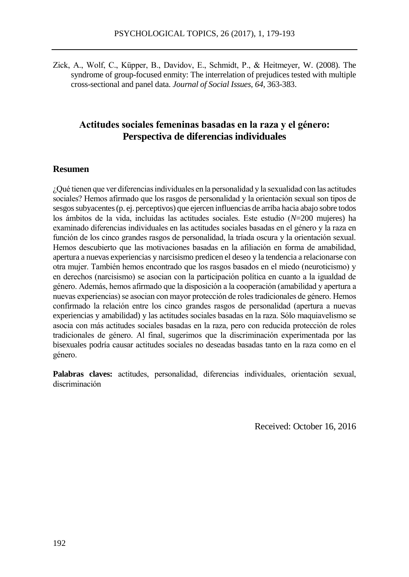Zick, A., Wolf, C., Küpper, B., Davidov, E., Schmidt, P., & Heitmeyer, W. (2008). The syndrome of group-focused enmity: The interrelation of prejudices tested with multiple cross-sectional and panel data. *Journal of Social Issues, 64*, 363-383.

## **Actitudes sociales femeninas basadas en la raza y el género: Perspectiva de diferencias individuales**

### **Resumen**

¿Qué tienen que ver diferencias individuales en la personalidad y la sexualidad con las actitudes sociales? Hemos afirmado que los rasgos de personalidad y la orientación sexual son tipos de sesgos subyacentes (p. ej. perceptivos) que ejercen influencias de arriba hacia abajo sobre todos los ámbitos de la vida, incluidas las actitudes sociales. Este estudio (*N*=200 mujeres) ha examinado diferencias individuales en las actitudes sociales basadas en el género y la raza en función de los cinco grandes rasgos de personalidad, la tríada oscura y la orientación sexual. Hemos descubierto que las motivaciones basadas en la afiliación en forma de amabilidad, apertura a nuevas experiencias y narcisismo predicen el deseo y la tendencia a relacionarse con otra mujer. También hemos encontrado que los rasgos basados en el miedo (neuroticismo) y en derechos (narcisismo) se asocian con la participación política en cuanto a la igualdad de género. Además, hemos afirmado que la disposición a la cooperación (amabilidad y apertura a nuevas experiencias) se asocian con mayor protección de roles tradicionales de género. Hemos confirmado la relación entre los cinco grandes rasgos de personalidad (apertura a nuevas experiencias y amabilidad) y las actitudes sociales basadas en la raza. Sólo maquiavelismo se asocia con más actitudes sociales basadas en la raza, pero con reducida protección de roles tradicionales de género. Al final, sugerimos que la discriminación experimentada por las bisexuales podría causar actitudes sociales no deseadas basadas tanto en la raza como en el género.

**Palabras claves:** actitudes, personalidad, diferencias individuales, orientación sexual, discriminación

Received: October 16, 2016